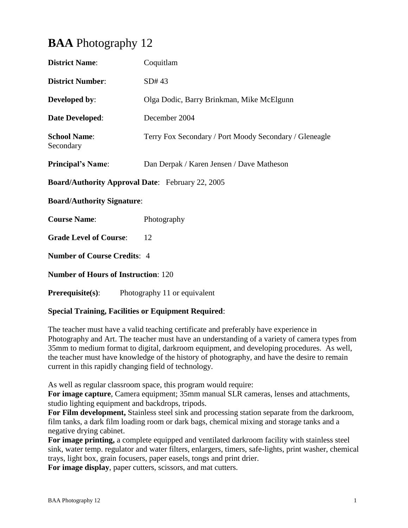# **BAA** Photography 12

| <b>District Name:</b>                                   | Coquitlam                                              |  |
|---------------------------------------------------------|--------------------------------------------------------|--|
| <b>District Number:</b>                                 | SD#43                                                  |  |
| <b>Developed by:</b>                                    | Olga Dodic, Barry Brinkman, Mike McElgunn              |  |
| <b>Date Developed:</b>                                  | December 2004                                          |  |
| <b>School Name:</b><br>Secondary                        | Terry Fox Secondary / Port Moody Secondary / Gleneagle |  |
| <b>Principal's Name:</b>                                | Dan Derpak / Karen Jensen / Dave Matheson              |  |
| <b>Board/Authority Approval Date:</b> February 22, 2005 |                                                        |  |
| <b>Board/Authority Signature:</b>                       |                                                        |  |
| <b>Course Name:</b>                                     | Photography                                            |  |
| <b>Grade Level of Course:</b>                           | 12                                                     |  |
| <b>Number of Course Credits: 4</b>                      |                                                        |  |
| <b>Number of Hours of Instruction: 120</b>              |                                                        |  |
|                                                         |                                                        |  |

## **Prerequisite(s):** Photography 11 or equivalent

### **Special Training, Facilities or Equipment Required**:

The teacher must have a valid teaching certificate and preferably have experience in Photography and Art. The teacher must have an understanding of a variety of camera types from 35mm to medium format to digital, darkroom equipment, and developing procedures. As well, the teacher must have knowledge of the history of photography, and have the desire to remain current in this rapidly changing field of technology.

As well as regular classroom space, this program would require:

**For image capture**, Camera equipment; 35mm manual SLR cameras, lenses and attachments, studio lighting equipment and backdrops, tripods.

**For Film development,** Stainless steel sink and processing station separate from the darkroom, film tanks, a dark film loading room or dark bags, chemical mixing and storage tanks and a negative drying cabinet.

**For image printing,** a complete equipped and ventilated darkroom facility with stainless steel sink, water temp. regulator and water filters, enlargers, timers, safe-lights, print washer, chemical trays, light box, grain focusers, paper easels, tongs and print drier.

**For image display**, paper cutters, scissors, and mat cutters.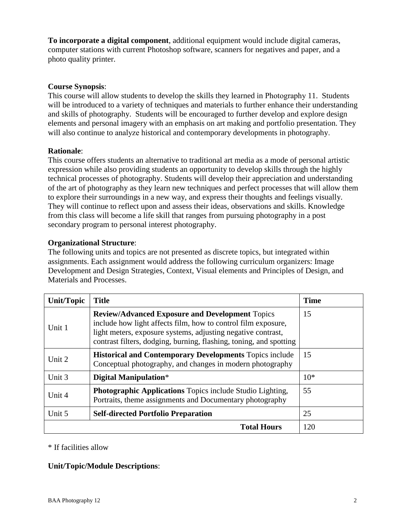**To incorporate a digital component**, additional equipment would include digital cameras, computer stations with current Photoshop software, scanners for negatives and paper, and a photo quality printer.

#### **Course Synopsis**:

This course will allow students to develop the skills they learned in Photography 11. Students will be introduced to a variety of techniques and materials to further enhance their understanding and skills of photography. Students will be encouraged to further develop and explore design elements and personal imagery with an emphasis on art making and portfolio presentation. They will also continue to analyze historical and contemporary developments in photography.

#### **Rationale**:

This course offers students an alternative to traditional art media as a mode of personal artistic expression while also providing students an opportunity to develop skills through the highly technical processes of photography. Students will develop their appreciation and understanding of the art of photography as they learn new techniques and perfect processes that will allow them to explore their surroundings in a new way, and express their thoughts and feelings visually. They will continue to reflect upon and assess their ideas, observations and skills. Knowledge from this class will become a life skill that ranges from pursuing photography in a post secondary program to personal interest photography.

#### **Organizational Structure**:

The following units and topics are not presented as discrete topics, but integrated within assignments. Each assignment would address the following curriculum organizers: Image Development and Design Strategies, Context, Visual elements and Principles of Design, and Materials and Processes.

| Unit/Topic | <b>Title</b>                                                                                                                                                                                                                                                  | <b>Time</b> |
|------------|---------------------------------------------------------------------------------------------------------------------------------------------------------------------------------------------------------------------------------------------------------------|-------------|
| Unit 1     | <b>Review/Advanced Exposure and Development Topics</b><br>include how light affects film, how to control film exposure,<br>light meters, exposure systems, adjusting negative contrast,<br>contrast filters, dodging, burning, flashing, toning, and spotting | 15          |
| Unit 2     | <b>Historical and Contemporary Developments Topics include</b><br>Conceptual photography, and changes in modern photography                                                                                                                                   | 15          |
| Unit 3     | Digital Manipulation*                                                                                                                                                                                                                                         | $10*$       |
| Unit 4     | <b>Photographic Applications</b> Topics include Studio Lighting,<br>Portraits, theme assignments and Documentary photography                                                                                                                                  | 55          |
| Unit 5     | <b>Self-directed Portfolio Preparation</b>                                                                                                                                                                                                                    | 25          |
|            | 120                                                                                                                                                                                                                                                           |             |

\* If facilities allow

### **Unit/Topic/Module Descriptions**: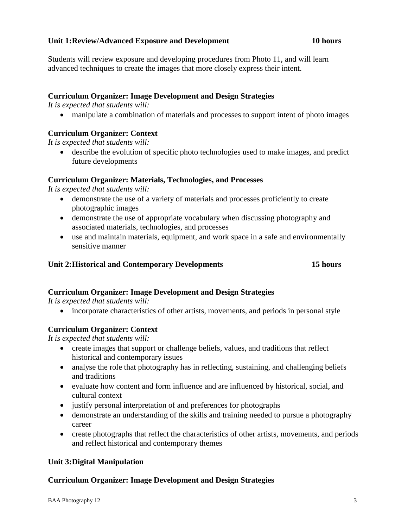#### **Unit 1:Review/Advanced Exposure and Development 10 hours**

Students will review exposure and developing procedures from Photo 11, and will learn advanced techniques to create the images that more closely express their intent.

#### **Curriculum Organizer: Image Development and Design Strategies**

*It is expected that students will:*

manipulate a combination of materials and processes to support intent of photo images

### **Curriculum Organizer: Context**

*It is expected that students will:*

 describe the evolution of specific photo technologies used to make images, and predict future developments

#### **Curriculum Organizer: Materials, Technologies, and Processes**

*It is expected that students will:*

- demonstrate the use of a variety of materials and processes proficiently to create photographic images
- demonstrate the use of appropriate vocabulary when discussing photography and associated materials, technologies, and processes
- use and maintain materials, equipment, and work space in a safe and environmentally sensitive manner

#### **Unit 2:Historical and Contemporary Developments 15 hours**

### **Curriculum Organizer: Image Development and Design Strategies**

*It is expected that students will:*

• incorporate characteristics of other artists, movements, and periods in personal style

#### **Curriculum Organizer: Context**

*It is expected that students will:*

- create images that support or challenge beliefs, values, and traditions that reflect historical and contemporary issues
- analyse the role that photography has in reflecting, sustaining, and challenging beliefs and traditions
- evaluate how content and form influence and are influenced by historical, social, and cultural context
- justify personal interpretation of and preferences for photographs
- demonstrate an understanding of the skills and training needed to pursue a photography career
- create photographs that reflect the characteristics of other artists, movements, and periods and reflect historical and contemporary themes

### **Unit 3:Digital Manipulation**

#### **Curriculum Organizer: Image Development and Design Strategies**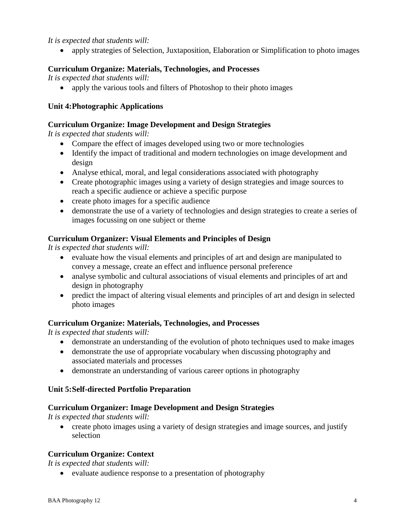### *It is expected that students will:*

apply strategies of Selection, Juxtaposition, Elaboration or Simplification to photo images

#### **Curriculum Organize: Materials, Technologies, and Processes**

*It is expected that students will:*

• apply the various tools and filters of Photoshop to their photo images

#### **Unit 4:Photographic Applications**

#### **Curriculum Organize: Image Development and Design Strategies**

*It is expected that students will:*

- Compare the effect of images developed using two or more technologies
- Identify the impact of traditional and modern technologies on image development and design
- Analyse ethical, moral, and legal considerations associated with photography
- Create photographic images using a variety of design strategies and image sources to reach a specific audience or achieve a specific purpose
- create photo images for a specific audience
- demonstrate the use of a variety of technologies and design strategies to create a series of images focussing on one subject or theme

#### **Curriculum Organizer: Visual Elements and Principles of Design**

*It is expected that students will:*

- evaluate how the visual elements and principles of art and design are manipulated to convey a message, create an effect and influence personal preference
- analyse symbolic and cultural associations of visual elements and principles of art and design in photography
- predict the impact of altering visual elements and principles of art and design in selected photo images

#### **Curriculum Organize: Materials, Technologies, and Processes**

*It is expected that students will:*

- demonstrate an understanding of the evolution of photo techniques used to make images
- demonstrate the use of appropriate vocabulary when discussing photography and associated materials and processes
- demonstrate an understanding of various career options in photography

#### **Unit 5:Self-directed Portfolio Preparation**

#### **Curriculum Organizer: Image Development and Design Strategies**

*It is expected that students will:*

• create photo images using a variety of design strategies and image sources, and justify selection

### **Curriculum Organize: Context**

*It is expected that students will:*

evaluate audience response to a presentation of photography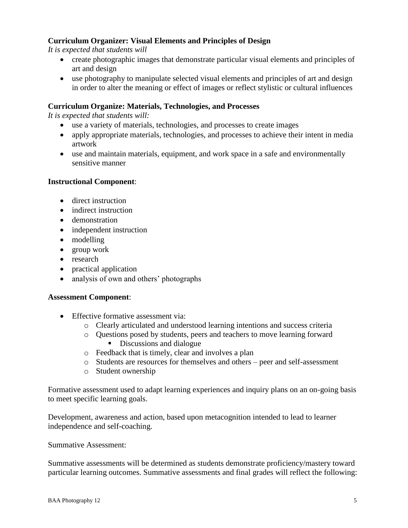### **Curriculum Organizer: Visual Elements and Principles of Design**

*It is expected that students will*

- create photographic images that demonstrate particular visual elements and principles of art and design
- use photography to manipulate selected visual elements and principles of art and design in order to alter the meaning or effect of images or reflect stylistic or cultural influences

#### **Curriculum Organize: Materials, Technologies, and Processes**

*It is expected that students will:*

- use a variety of materials, technologies, and processes to create images
- apply appropriate materials, technologies, and processes to achieve their intent in media artwork
- use and maintain materials, equipment, and work space in a safe and environmentally sensitive manner

#### **Instructional Component**:

- direct instruction
- indirect instruction
- demonstration
- independent instruction
- modelling
- group work
- research
- practical application
- analysis of own and others' photographs

#### **Assessment Component**:

- Effective formative assessment via:
	- o Clearly articulated and understood learning intentions and success criteria
	- o Questions posed by students, peers and teachers to move learning forward
		- Discussions and dialogue
	- o Feedback that is timely, clear and involves a plan
	- o Students are resources for themselves and others peer and self-assessment
	- o Student ownership

Formative assessment used to adapt learning experiences and inquiry plans on an on-going basis to meet specific learning goals.

Development, awareness and action, based upon metacognition intended to lead to learner independence and self-coaching.

#### Summative Assessment:

Summative assessments will be determined as students demonstrate proficiency/mastery toward particular learning outcomes. Summative assessments and final grades will reflect the following: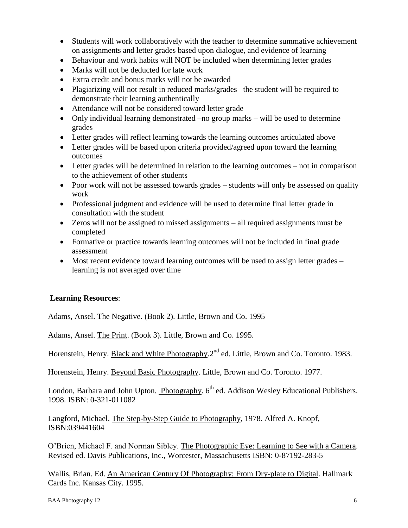- Students will work collaboratively with the teacher to determine summative achievement on assignments and letter grades based upon dialogue, and evidence of learning
- Behaviour and work habits will NOT be included when determining letter grades
- Marks will not be deducted for late work
- Extra credit and bonus marks will not be awarded
- Plagiarizing will not result in reduced marks/grades –the student will be required to demonstrate their learning authentically
- Attendance will not be considered toward letter grade
- Only individual learning demonstrated –no group marks will be used to determine grades
- Letter grades will reflect learning towards the learning outcomes articulated above
- Letter grades will be based upon criteria provided/agreed upon toward the learning outcomes
- Letter grades will be determined in relation to the learning outcomes not in comparison to the achievement of other students
- Poor work will not be assessed towards grades students will only be assessed on quality work
- Professional judgment and evidence will be used to determine final letter grade in consultation with the student
- Zeros will not be assigned to missed assignments all required assignments must be completed
- Formative or practice towards learning outcomes will not be included in final grade assessment
- Most recent evidence toward learning outcomes will be used to assign letter grades learning is not averaged over time

### **Learning Resources**:

Adams, Ansel. The Negative. (Book 2). Little, Brown and Co. 1995

Adams, Ansel. The Print. (Book 3). Little, Brown and Co. 1995.

Horenstein, Henry. Black and White Photography.2<sup>nd</sup> ed. Little, Brown and Co. Toronto. 1983.

Horenstein, Henry. Beyond Basic Photography. Little, Brown and Co. Toronto. 1977.

London, Barbara and John Upton. Photography. 6<sup>th</sup> ed. Addison Wesley Educational Publishers. 1998. ISBN: 0-321-011082

Langford, Michael. The Step-by-Step Guide to Photography, 1978. Alfred A. Knopf, ISBN:039441604

O'Brien, Michael F. and Norman Sibley. The Photographic Eye: Learning to See with a Camera. Revised ed. Davis Publications, Inc., Worcester, Massachusetts ISBN: 0-87192-283-5

Wallis, Brian. Ed. An American Century Of Photography: From Dry-plate to Digital. Hallmark Cards Inc. Kansas City. 1995.